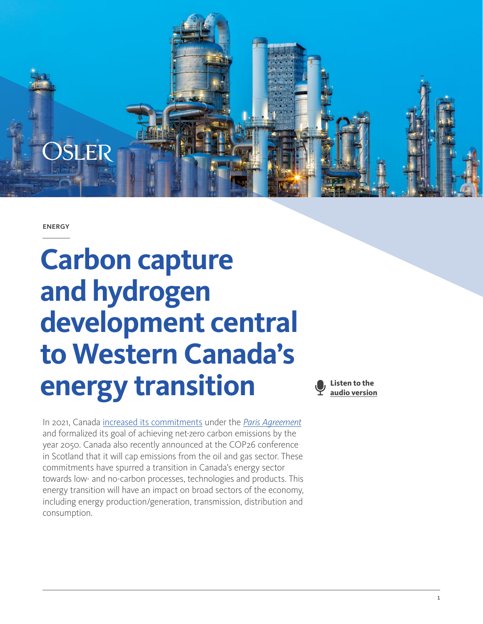

**ENERGY** 

# **Carbon capture and hydrogen development central to Western Canada's energy transition**

In 2021, Canada [increased its commitments](https://www4.unfccc.int/sites/ndcstaging/PublishedDocuments/Canada First/Canada) under the *[Paris Agreement](https://unfccc.int/process-and-meetings/the-paris-agreement/the-paris-agreement)* and formalized its goal of achieving net-zero carbon emissions by the year 2050. Canada also recently announced at the COP26 conference in Scotland that it will cap emissions from the oil and gas sector. These commitments have spurred a transition in Canada's energy sector towards low- and no-carbon processes, technologies and products. This energy transition will have an impact on broad sectors of the economy, including energy production/generation, transmission, distribution and consumption.

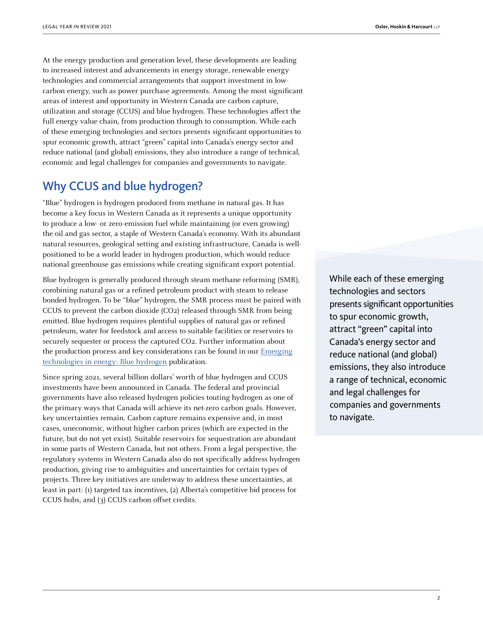At the energy production and generation level, these developments are leading to increased interest and advancements in energy storage, renewable energy technologies and commercial arrangements that support investment in lowcarbon energy, such as power purchase agreements. Among the most significant areas of interest and opportunity in Western Canada are carbon capture, utilization and storage (CCUS) and blue hydrogen. These technologies affect the full energy value chain, from production through to consumption. While each of these emerging technologies and sectors presents significant opportunities to spur economic growth, attract "green" capital into Canada's energy sector and reduce national (and global) emissions, they also introduce a range of technical, economic and legal challenges for companies and governments to navigate.

### Why CCUS and blue hydrogen?

"Blue" hydrogen is hydrogen produced from methane in natural gas. It has become a key focus in Western Canada as it represents a unique opportunity to produce a low- or zero-emission fuel while maintaining (or even growing) the oil and gas sector, a staple of Western Canada's economy. With its abundant natural resources, geological setting and existing infrastructure, Canada is wellpositioned to be a world leader in hydrogen production, which would reduce national greenhouse gas emissions while creating significant export potential.

Blue hydrogen is generally produced through steam methane reforming (SMR), combining natural gas or a refined petroleum product with steam to release bonded hydrogen. To be "blue" hydrogen, the SMR process must be paired with CCUS to prevent the carbon dioxide (CO2) released through SMR from being emitted. Blue hydrogen requires plentiful supplies of natural gas or refined petroleum, water for feedstock and access to suitable facilities or reservoirs to securely sequester or process the captured CO2. Further information about the production process and key considerations can be found in our **[Emerging](https://www.osler.com/osler/media/Osler/infographics/Osler_Emerging-technologies-in-energy_Blue-hydrogen.pdf)** [technologies in energy: Blue hydrogen](https://www.osler.com/osler/media/Osler/infographics/Osler_Emerging-technologies-in-energy_Blue-hydrogen.pdf) publication.

Since spring 2021, several billion dollars' worth of blue hydrogen and CCUS investments have been announced in Canada. The federal and provincial governments have also released hydrogen policies touting hydrogen as one of the primary ways that Canada will achieve its net-zero carbon goals. However, key uncertainties remain. Carbon capture remains expensive and, in most cases, uneconomic, without higher carbon prices (which are expected in the future, but do not yet exist). Suitable reservoirs for sequestration are abundant in some parts of Western Canada, but not others. From a legal perspective, the regulatory systems in Western Canada also do not specifically address hydrogen production, giving rise to ambiguities and uncertainties for certain types of projects. Three key initiatives are underway to address these uncertainties, at least in part: (1) targeted tax incentives, (2) Alberta's competitive bid process for CCUS hubs, and (3) CCUS carbon offset credits.

While each of these emerging technologies and sectors presents significant opportunities to spur economic growth, attract "green" capital into Canada's energy sector and reduce national (and global) emissions, they also introduce a range of technical, economic and legal challenges for companies and governments to navigate.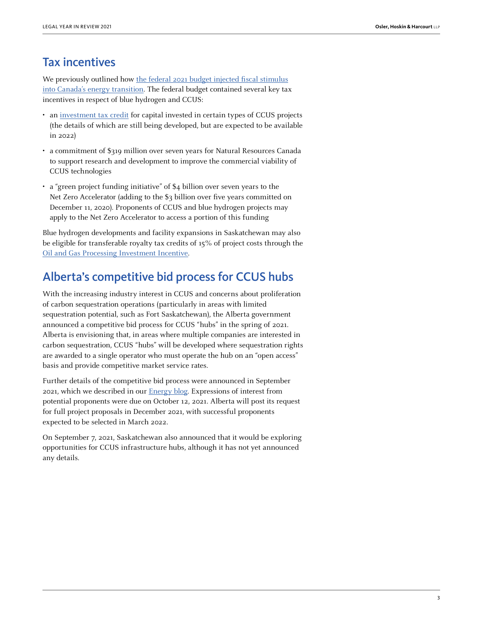#### Tax incentives

We previously outlined how [the federal 2021 budget injected fiscal stimulus](https://www.osler.com/en/resources/regulations/2021/federal-budget-injects-fiscal-stimulus-into-energy-transition) [into Canada's energy transition](https://www.osler.com/en/resources/regulations/2021/federal-budget-injects-fiscal-stimulus-into-energy-transition). The federal budget contained several key tax incentives in respect of blue hydrogen and CCUS:

- an [investment tax credit](https://www.canada.ca/en/department-finance/programs/consultations/2021/investment-tax-credit-carbon-capture-utilization-storage.html) for capital invested in certain types of CCUS projects (the details of which are still being developed, but are expected to be available in 2022)
- a commitment of \$319 million over seven years for Natural Resources Canada to support research and development to improve the commercial viability of CCUS technologies
- a "green project funding initiative" of \$4 billion over seven years to the Net Zero Accelerator (adding to the \$3 billion over five years committed on December 11, 2020). Proponents of CCUS and blue hydrogen projects may apply to the Net Zero Accelerator to access a portion of this funding

Blue hydrogen developments and facility expansions in Saskatchewan may also be eligible for transferable royalty tax credits of 15% of project costs through the [Oil and Gas Processing Investment Incentive](https://www.canada.ca/en/department-finance/programs/consultations/2021/investment-tax-credit-carbon-capture-utilization-storage.html).

### Alberta's competitive bid process for CCUS hubs

With the increasing industry interest in CCUS and concerns about proliferation of carbon sequestration operations (particularly in areas with limited sequestration potential, such as Fort Saskatchewan), the Alberta government announced a competitive bid process for CCUS "hubs" in the spring of 2021. Alberta is envisioning that, in areas where multiple companies are interested in carbon sequestration, CCUS "hubs" will be developed where sequestration rights are awarded to a single operator who must operate the hub on an "open access" basis and provide competitive market service rates.

Further details of the competitive bid process were announced in September 2021, which we described in our [Energy blog.](https://www.osler.com/en/blogs/energy/september-2021/alberta-issues-request-for-expressions-of-interest-in-carbon-sequestration-hub?feed=ETC) Expressions of interest from potential proponents were due on October 12, 2021. Alberta will post its request for full project proposals in December 2021, with successful proponents expected to be selected in March 2022.

On September 7, 2021, Saskatchewan also announced that it would be exploring opportunities for CCUS infrastructure hubs, although it has not yet announced any details.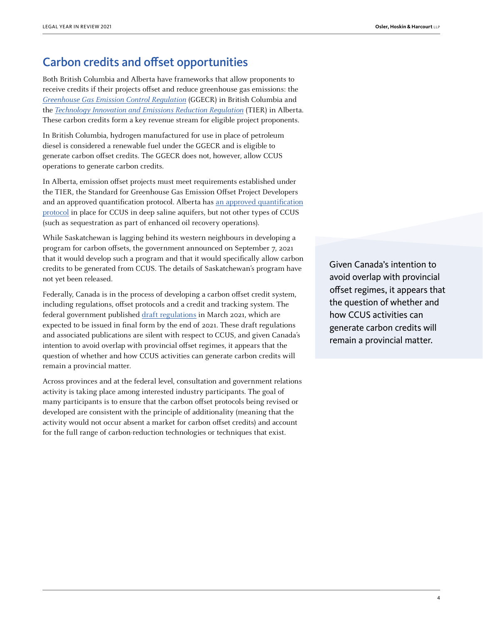#### Carbon credits and offset opportunities

Both British Columbia and Alberta have frameworks that allow proponents to receive credits if their projects offset and reduce greenhouse gas emissions: the [Greenhouse Gas Emission Control Regulation](https://www.bclaws.gov.bc.ca/civix/document/id/lc/statreg/250_2015) (GGECR) in British Columbia and the [Technology Innovation and Emissions Reduction Regulation](https://www.alberta.ca/technology-innovation-and-emissions-reduction-regulation.aspx) (TIER) in Alberta. These carbon credits form a key revenue stream for eligible project proponents.

In British Columbia, hydrogen manufactured for use in place of petroleum diesel is considered a renewable fuel under the GGECR and is eligible to generate carbon offset credits. The GGECR does not, however, allow CCUS operations to generate carbon credits.

In Alberta, emission offset projects must meet requirements established under the TIER, the Standard for Greenhouse Gas Emission Offset Project Developers and an approved quantification protocol. Alberta has [an approved quantification](https://www.alberta.ca/alberta-emission-offset-system.aspx) [protocol](https://www.alberta.ca/alberta-emission-offset-system.aspx) in place for CCUS in deep saline aquifers, but not other types of CCUS (such as sequestration as part of enhanced oil recovery operations).

While Saskatchewan is lagging behind its western neighbours in developing a program for carbon offsets, the government announced on September 7, 2021 that it would develop such a program and that it would specifically allow carbon credits to be generated from CCUS. The details of Saskatchewan's program have not yet been released.

Federally, Canada is in the process of developing a carbon offset credit system, including regulations, offset protocols and a credit and tracking system. The federal government published [draft regulations](https://canadagazette.gc.ca/rp-pr/p1/2021/2021-03-06/html/reg1-eng.html) in March 2021, which are expected to be issued in final form by the end of 2021. These draft regulations and associated publications are silent with respect to CCUS, and given Canada's intention to avoid overlap with provincial offset regimes, it appears that the question of whether and how CCUS activities can generate carbon credits will remain a provincial matter.

Across provinces and at the federal level, consultation and government relations activity is taking place among interested industry participants. The goal of many participants is to ensure that the carbon offset protocols being revised or developed are consistent with the principle of additionality (meaning that the activity would not occur absent a market for carbon offset credits) and account for the full range of carbon-reduction technologies or techniques that exist.

Given Canada's intention to avoid overlap with provincial offset regimes, it appears that the question of whether and how CCUS activities can generate carbon credits will remain a provincial matter.